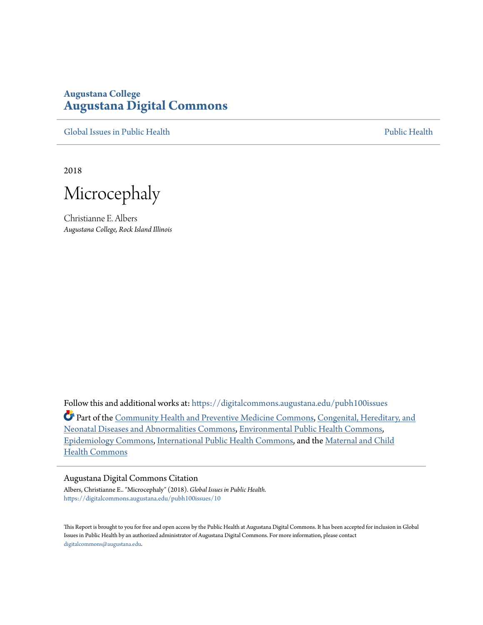#### **Augustana College [Augustana Digital Commons](https://digitalcommons.augustana.edu?utm_source=digitalcommons.augustana.edu%2Fpubh100issues%2F10&utm_medium=PDF&utm_campaign=PDFCoverPages)**

[Global Issues in Public Health](https://digitalcommons.augustana.edu/pubh100issues?utm_source=digitalcommons.augustana.edu%2Fpubh100issues%2F10&utm_medium=PDF&utm_campaign=PDFCoverPages) **[Public Health](https://digitalcommons.augustana.edu/publichealth?utm_source=digitalcommons.augustana.edu%2Fpubh100issues%2F10&utm_medium=PDF&utm_campaign=PDFCoverPages)** Public Health Public Health Public Health

2018

Microcephaly

Christianne E. Albers *Augustana College, Rock Island Illinois*

Follow this and additional works at: [https://digitalcommons.augustana.edu/pubh100issues](https://digitalcommons.augustana.edu/pubh100issues?utm_source=digitalcommons.augustana.edu%2Fpubh100issues%2F10&utm_medium=PDF&utm_campaign=PDFCoverPages) Part of the [Community Health and Preventive Medicine Commons,](http://network.bepress.com/hgg/discipline/744?utm_source=digitalcommons.augustana.edu%2Fpubh100issues%2F10&utm_medium=PDF&utm_campaign=PDFCoverPages) [Congenital, Hereditary, and](http://network.bepress.com/hgg/discipline/971?utm_source=digitalcommons.augustana.edu%2Fpubh100issues%2F10&utm_medium=PDF&utm_campaign=PDFCoverPages) [Neonatal Diseases and Abnormalities Commons,](http://network.bepress.com/hgg/discipline/971?utm_source=digitalcommons.augustana.edu%2Fpubh100issues%2F10&utm_medium=PDF&utm_campaign=PDFCoverPages) [Environmental Public Health Commons,](http://network.bepress.com/hgg/discipline/739?utm_source=digitalcommons.augustana.edu%2Fpubh100issues%2F10&utm_medium=PDF&utm_campaign=PDFCoverPages) [Epidemiology Commons,](http://network.bepress.com/hgg/discipline/740?utm_source=digitalcommons.augustana.edu%2Fpubh100issues%2F10&utm_medium=PDF&utm_campaign=PDFCoverPages) [International Public Health Commons,](http://network.bepress.com/hgg/discipline/746?utm_source=digitalcommons.augustana.edu%2Fpubh100issues%2F10&utm_medium=PDF&utm_campaign=PDFCoverPages) and the [Maternal and Child](http://network.bepress.com/hgg/discipline/745?utm_source=digitalcommons.augustana.edu%2Fpubh100issues%2F10&utm_medium=PDF&utm_campaign=PDFCoverPages) [Health Commons](http://network.bepress.com/hgg/discipline/745?utm_source=digitalcommons.augustana.edu%2Fpubh100issues%2F10&utm_medium=PDF&utm_campaign=PDFCoverPages)

#### Augustana Digital Commons Citation

Albers, Christianne E.. "Microcephaly" (2018). *Global Issues in Public Health.* [https://digitalcommons.augustana.edu/pubh100issues/10](https://digitalcommons.augustana.edu/pubh100issues/10?utm_source=digitalcommons.augustana.edu%2Fpubh100issues%2F10&utm_medium=PDF&utm_campaign=PDFCoverPages)

This Report is brought to you for free and open access by the Public Health at Augustana Digital Commons. It has been accepted for inclusion in Global Issues in Public Health by an authorized administrator of Augustana Digital Commons. For more information, please contact [digitalcommons@augustana.edu.](mailto:digitalcommons@augustana.edu)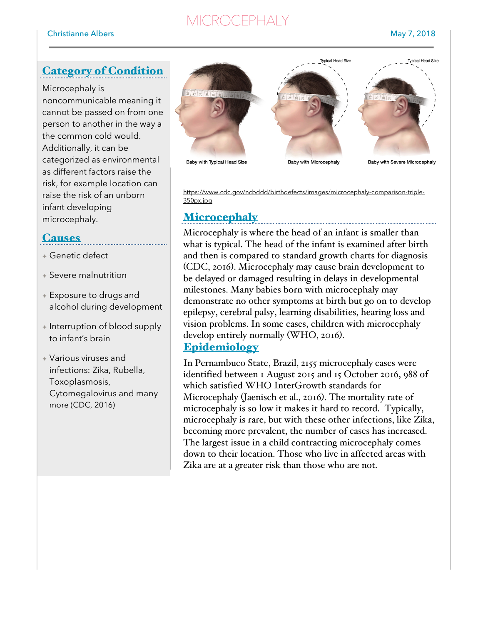# **MICROCEPHALY**

## Category of Condition

Microcephaly is noncommunicable meaning it cannot be passed on from one person to another in the way a the common cold would. Additionally, it can be categorized as environmental as different factors raise the risk, for example location can raise the risk of an unborn infant developing microcephaly.

### **Causes**

- ✦ Genetic defect
- $\triangle$  Severe malnutrition
- ✦ Exposure to drugs and alcohol during development
- ✦ Interruption of blood supply to infant's brain
- ✦ Various viruses and infections: Zika, Rubella, Toxoplasmosis, Cytomegalovirus and many more (CDC, 2016)



https://www.cdc.gov/ncbddd/birthdefects/images/microcephaly-comparison-triple-350px.jpg

### **Microcephaly**

Microcephaly is where the head of an infant is smaller than what is typical. The head of the infant is examined after birth and then is compared to standard growth charts for diagnosis (CDC, 2016). Microcephaly may cause brain development to be delayed or damaged resulting in delays in developmental milestones. Many babies born with microcephaly may demonstrate no other symptoms at birth but go on to develop epilepsy, cerebral palsy, learning disabilities, hearing loss and vision problems. In some cases, children with microcephaly develop entirely normally (WHO, 2016).

#### **Epidemiology**

In Pernambuco State, Brazil, 2155 microcephaly cases were identified between 1 August 2015 and 15 October 2016, 988 of which satisfied WHO InterGrowth standards for Microcephaly (Jaenisch et al., 2016). The mortality rate of microcephaly is so low it makes it hard to record. Typically, microcephaly is rare, but with these other infections, like Zika, becoming more prevalent, the number of cases has increased. The largest issue in a child contracting microcephaly comes down to their location. Those who live in affected areas with Zika are at a greater risk than those who are not.